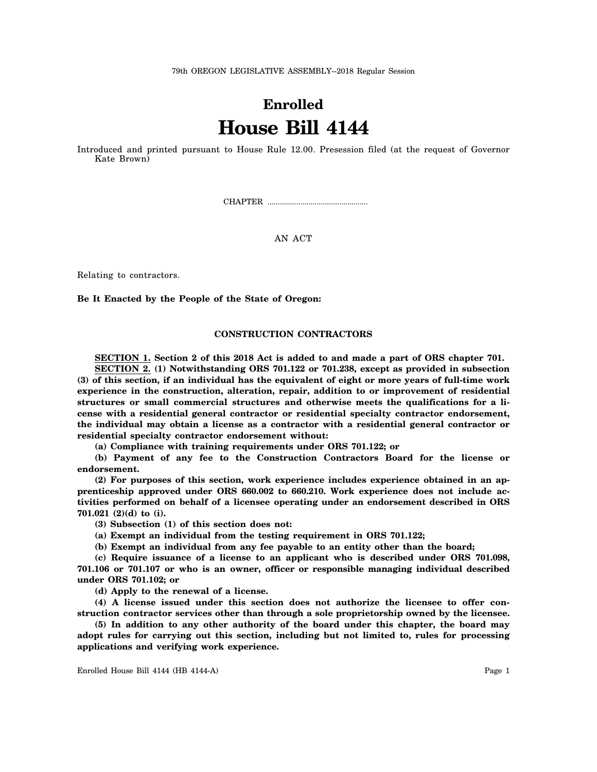79th OREGON LEGISLATIVE ASSEMBLY--2018 Regular Session

# **Enrolled House Bill 4144**

Introduced and printed pursuant to House Rule 12.00. Presession filed (at the request of Governor Kate Brown)

CHAPTER .................................................

## AN ACT

Relating to contractors.

**Be It Enacted by the People of the State of Oregon:**

## **CONSTRUCTION CONTRACTORS**

**SECTION 1. Section 2 of this 2018 Act is added to and made a part of ORS chapter 701.**

**SECTION 2. (1) Notwithstanding ORS 701.122 or 701.238, except as provided in subsection (3) of this section, if an individual has the equivalent of eight or more years of full-time work experience in the construction, alteration, repair, addition to or improvement of residential structures or small commercial structures and otherwise meets the qualifications for a license with a residential general contractor or residential specialty contractor endorsement, the individual may obtain a license as a contractor with a residential general contractor or residential specialty contractor endorsement without:**

**(a) Compliance with training requirements under ORS 701.122; or**

**(b) Payment of any fee to the Construction Contractors Board for the license or endorsement.**

**(2) For purposes of this section, work experience includes experience obtained in an apprenticeship approved under ORS 660.002 to 660.210. Work experience does not include activities performed on behalf of a licensee operating under an endorsement described in ORS 701.021 (2)(d) to (i).**

**(3) Subsection (1) of this section does not:**

**(a) Exempt an individual from the testing requirement in ORS 701.122;**

**(b) Exempt an individual from any fee payable to an entity other than the board;**

**(c) Require issuance of a license to an applicant who is described under ORS 701.098, 701.106 or 701.107 or who is an owner, officer or responsible managing individual described under ORS 701.102; or**

**(d) Apply to the renewal of a license.**

**(4) A license issued under this section does not authorize the licensee to offer construction contractor services other than through a sole proprietorship owned by the licensee.**

**(5) In addition to any other authority of the board under this chapter, the board may adopt rules for carrying out this section, including but not limited to, rules for processing applications and verifying work experience.**

Enrolled House Bill 4144 (HB 4144-A) Page 1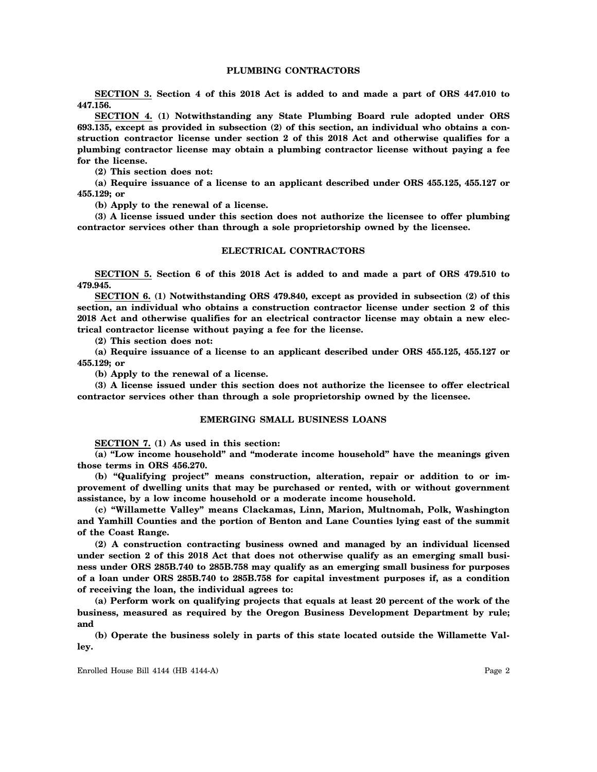# **PLUMBING CONTRACTORS**

**SECTION 3. Section 4 of this 2018 Act is added to and made a part of ORS 447.010 to 447.156.**

**SECTION 4. (1) Notwithstanding any State Plumbing Board rule adopted under ORS 693.135, except as provided in subsection (2) of this section, an individual who obtains a construction contractor license under section 2 of this 2018 Act and otherwise qualifies for a plumbing contractor license may obtain a plumbing contractor license without paying a fee for the license.**

**(2) This section does not:**

**(a) Require issuance of a license to an applicant described under ORS 455.125, 455.127 or 455.129; or**

**(b) Apply to the renewal of a license.**

**(3) A license issued under this section does not authorize the licensee to offer plumbing contractor services other than through a sole proprietorship owned by the licensee.**

### **ELECTRICAL CONTRACTORS**

**SECTION 5. Section 6 of this 2018 Act is added to and made a part of ORS 479.510 to 479.945.**

**SECTION 6. (1) Notwithstanding ORS 479.840, except as provided in subsection (2) of this section, an individual who obtains a construction contractor license under section 2 of this 2018 Act and otherwise qualifies for an electrical contractor license may obtain a new electrical contractor license without paying a fee for the license.**

**(2) This section does not:**

**(a) Require issuance of a license to an applicant described under ORS 455.125, 455.127 or 455.129; or**

**(b) Apply to the renewal of a license.**

**(3) A license issued under this section does not authorize the licensee to offer electrical contractor services other than through a sole proprietorship owned by the licensee.**

#### **EMERGING SMALL BUSINESS LOANS**

**SECTION 7. (1) As used in this section:**

**(a) "Low income household" and "moderate income household" have the meanings given those terms in ORS 456.270.**

**(b) "Qualifying project" means construction, alteration, repair or addition to or improvement of dwelling units that may be purchased or rented, with or without government assistance, by a low income household or a moderate income household.**

**(c) "Willamette Valley" means Clackamas, Linn, Marion, Multnomah, Polk, Washington and Yamhill Counties and the portion of Benton and Lane Counties lying east of the summit of the Coast Range.**

**(2) A construction contracting business owned and managed by an individual licensed under section 2 of this 2018 Act that does not otherwise qualify as an emerging small business under ORS 285B.740 to 285B.758 may qualify as an emerging small business for purposes of a loan under ORS 285B.740 to 285B.758 for capital investment purposes if, as a condition of receiving the loan, the individual agrees to:**

**(a) Perform work on qualifying projects that equals at least 20 percent of the work of the business, measured as required by the Oregon Business Development Department by rule; and**

**(b) Operate the business solely in parts of this state located outside the Willamette Valley.**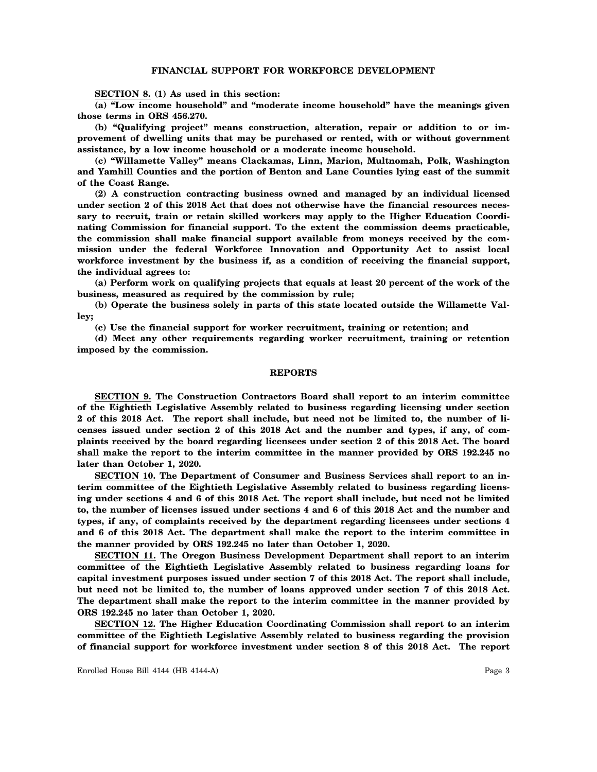### **FINANCIAL SUPPORT FOR WORKFORCE DEVELOPMENT**

**SECTION 8. (1) As used in this section:**

**(a) "Low income household" and "moderate income household" have the meanings given those terms in ORS 456.270.**

**(b) "Qualifying project" means construction, alteration, repair or addition to or improvement of dwelling units that may be purchased or rented, with or without government assistance, by a low income household or a moderate income household.**

**(c) "Willamette Valley" means Clackamas, Linn, Marion, Multnomah, Polk, Washington and Yamhill Counties and the portion of Benton and Lane Counties lying east of the summit of the Coast Range.**

**(2) A construction contracting business owned and managed by an individual licensed under section 2 of this 2018 Act that does not otherwise have the financial resources necessary to recruit, train or retain skilled workers may apply to the Higher Education Coordinating Commission for financial support. To the extent the commission deems practicable, the commission shall make financial support available from moneys received by the commission under the federal Workforce Innovation and Opportunity Act to assist local workforce investment by the business if, as a condition of receiving the financial support, the individual agrees to:**

**(a) Perform work on qualifying projects that equals at least 20 percent of the work of the business, measured as required by the commission by rule;**

**(b) Operate the business solely in parts of this state located outside the Willamette Valley;**

**(c) Use the financial support for worker recruitment, training or retention; and**

**(d) Meet any other requirements regarding worker recruitment, training or retention imposed by the commission.**

#### **REPORTS**

**SECTION 9. The Construction Contractors Board shall report to an interim committee of the Eightieth Legislative Assembly related to business regarding licensing under section 2 of this 2018 Act. The report shall include, but need not be limited to, the number of licenses issued under section 2 of this 2018 Act and the number and types, if any, of complaints received by the board regarding licensees under section 2 of this 2018 Act. The board shall make the report to the interim committee in the manner provided by ORS 192.245 no later than October 1, 2020.**

**SECTION 10. The Department of Consumer and Business Services shall report to an interim committee of the Eightieth Legislative Assembly related to business regarding licensing under sections 4 and 6 of this 2018 Act. The report shall include, but need not be limited to, the number of licenses issued under sections 4 and 6 of this 2018 Act and the number and types, if any, of complaints received by the department regarding licensees under sections 4 and 6 of this 2018 Act. The department shall make the report to the interim committee in the manner provided by ORS 192.245 no later than October 1, 2020.**

**SECTION 11. The Oregon Business Development Department shall report to an interim committee of the Eightieth Legislative Assembly related to business regarding loans for capital investment purposes issued under section 7 of this 2018 Act. The report shall include, but need not be limited to, the number of loans approved under section 7 of this 2018 Act. The department shall make the report to the interim committee in the manner provided by ORS 192.245 no later than October 1, 2020.**

**SECTION 12. The Higher Education Coordinating Commission shall report to an interim committee of the Eightieth Legislative Assembly related to business regarding the provision of financial support for workforce investment under section 8 of this 2018 Act. The report**